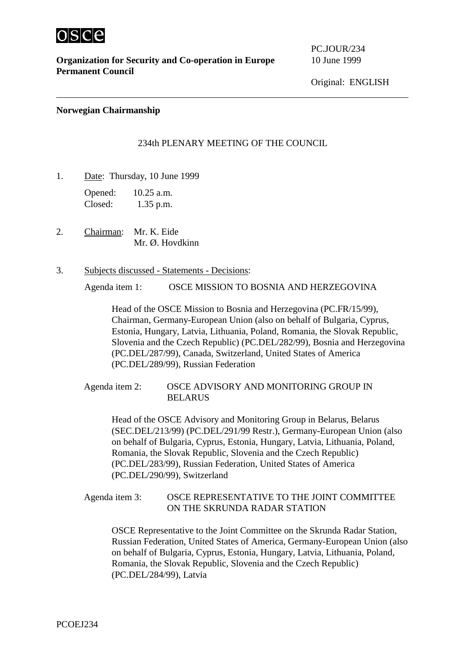

**Organization for Security and Co-operation in Europe** 10 June 1999 **Permanent Council**

PC.JOUR/234

Original: ENGLISH

### **Norwegian Chairmanship**

## 234th PLENARY MEETING OF THE COUNCIL

1. Date: Thursday, 10 June 1999

Opened: 10.25 a.m. Closed: 1.35 p.m.

2. Chairman: Mr. K. Eide Mr. Ø. Hovdkinn

#### 3. Subjects discussed - Statements - Decisions:

Agenda item 1: OSCE MISSION TO BOSNIA AND HERZEGOVINA

Head of the OSCE Mission to Bosnia and Herzegovina (PC.FR/15/99), Chairman, Germany-European Union (also on behalf of Bulgaria, Cyprus, Estonia, Hungary, Latvia, Lithuania, Poland, Romania, the Slovak Republic, Slovenia and the Czech Republic) (PC.DEL/282/99), Bosnia and Herzegovina (PC.DEL/287/99), Canada, Switzerland, United States of America (PC.DEL/289/99), Russian Federation

Agenda item 2: OSCE ADVISORY AND MONITORING GROUP IN BELARUS

Head of the OSCE Advisory and Monitoring Group in Belarus, Belarus (SEC.DEL/213/99) (PC.DEL/291/99 Restr.), Germany-European Union (also on behalf of Bulgaria, Cyprus, Estonia, Hungary, Latvia, Lithuania, Poland, Romania, the Slovak Republic, Slovenia and the Czech Republic) (PC.DEL/283/99), Russian Federation, United States of America (PC.DEL/290/99), Switzerland

Agenda item 3: OSCE REPRESENTATIVE TO THE JOINT COMMITTEE ON THE SKRUNDA RADAR STATION

OSCE Representative to the Joint Committee on the Skrunda Radar Station, Russian Federation, United States of America, Germany-European Union (also on behalf of Bulgaria, Cyprus, Estonia, Hungary, Latvia, Lithuania, Poland, Romania, the Slovak Republic, Slovenia and the Czech Republic) (PC.DEL/284/99), Latvia